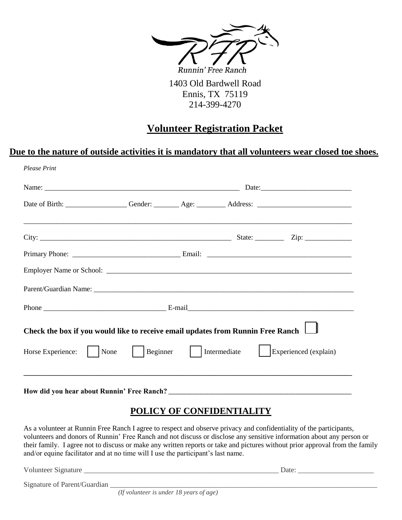

1403 Old Bardwell Road Ennis, TX 75119 214-399-4270

# **Volunteer Registration Packet**

#### **Due to the nature of outside activities it is mandatory that all volunteers wear closed toe shoes.**

| Date of Birth: ___________________Gender: _________ Age: _________ Address: __________________________________                                                                                                                                                                                                                                                            |  |                           |                                                                                   |  |  |
|---------------------------------------------------------------------------------------------------------------------------------------------------------------------------------------------------------------------------------------------------------------------------------------------------------------------------------------------------------------------------|--|---------------------------|-----------------------------------------------------------------------------------|--|--|
|                                                                                                                                                                                                                                                                                                                                                                           |  |                           |                                                                                   |  |  |
|                                                                                                                                                                                                                                                                                                                                                                           |  |                           |                                                                                   |  |  |
|                                                                                                                                                                                                                                                                                                                                                                           |  |                           |                                                                                   |  |  |
|                                                                                                                                                                                                                                                                                                                                                                           |  |                           |                                                                                   |  |  |
|                                                                                                                                                                                                                                                                                                                                                                           |  |                           |                                                                                   |  |  |
| Check the box if you would like to receive email updates from Runnin Free Ranch                                                                                                                                                                                                                                                                                           |  |                           |                                                                                   |  |  |
| Horse Experience:       None         Beginner       Intermediate       Experienced (explain)                                                                                                                                                                                                                                                                              |  |                           |                                                                                   |  |  |
|                                                                                                                                                                                                                                                                                                                                                                           |  |                           | ,我们也不能在这里的人,我们也不能在这里的人,我们也不能在这里的人,我们也不能在这里的人,我们也不能在这里的人,我们也不能在这里的人,我们也不能在这里的人,我们也 |  |  |
|                                                                                                                                                                                                                                                                                                                                                                           |  | POLICY OF CONFIDENTIALITY |                                                                                   |  |  |
| As a volunteer at Runnin Free Ranch I agree to respect and observe privacy and confidentiality of the participants,<br>volunteers and donors of Runnin' Free Ranch and not discuss or disclose any sensitive information about any person or<br>their family. I agree not to discuss or make any written reports or take and pictures without prior approval from the fam |  |                           |                                                                                   |  |  |

their family. I agree not to discuss or make any written reports or take and pictures without prior approval from the family and/or equine facilitator and at no time will I use the participant's last name.

Volunteer Signature Later and the set of the set of the set of the set of the set of the set of the set of the set of the set of the set of the set of the set of the set of the set of the set of the set of the set of the s

Signature of Parent/Guardian

*(If volunteer is under 18 years of age)*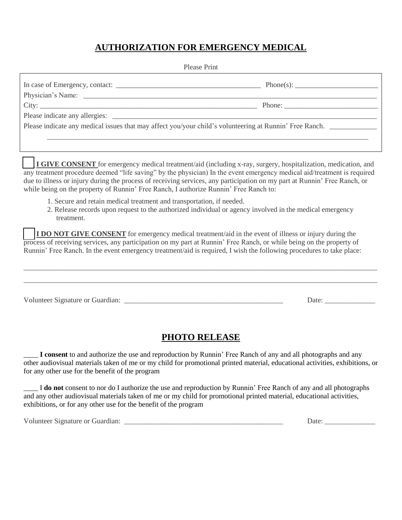## **AUTHORIZATION FOR EMERGENCY MEDICAL**

#### Please Print

| City: | Phone: $\qquad \qquad$                                                                                  |
|-------|---------------------------------------------------------------------------------------------------------|
|       |                                                                                                         |
|       | Please indicate any medical issues that may affect you/your child's volunteering at Runnin' Free Ranch. |
|       |                                                                                                         |

**\_\_\_ I GIVE CONSENT** for emergency medical treatment/aid (including x-ray, surgery, hospitalization, medication, and any treatment procedure deemed "life saving" by the physician) In the event emergency medical aid/treatment is required due to illness or injury during the process of receiving services, any participation on my part at Runnin' Free Ranch, or while being on the property of Runnin' Free Ranch, I authorize Runnin' Free Ranch to:

- 1. Secure and retain medical treatment and transportation, if needed.
- 2. Release records upon request to the authorized individual or agency involved in the medical emergency treatment.

**I DO NOT GIVE CONSENT** for emergency medical treatment/aid in the event of illness or injury during the process of receiving services, any participation on my part at Runnin' Free Ranch, or while being on the property of Runnin' Free Ranch. In the event emergency treatment/aid is required, I wish the following procedures to take place:

| Volunteer Signature or Guardian: |  | Date: |
|----------------------------------|--|-------|

\_\_\_\_\_\_\_\_\_\_\_\_\_\_\_\_\_\_\_\_\_\_\_\_\_\_\_\_\_\_\_\_\_\_\_\_\_\_\_\_\_\_\_\_\_\_\_\_\_\_\_\_\_\_\_\_\_\_\_\_\_\_\_\_\_\_\_\_\_\_\_\_\_\_\_\_\_\_\_\_\_\_\_\_\_\_\_\_\_\_\_\_\_\_\_\_\_\_

### **PHOTO RELEASE**

I consent to and authorize the use and reproduction by Runnin' Free Ranch of any and all photographs and any other audiovisual materials taken of me or my child for promotional printed material, educational activities, exhibitions, or for any other use for the benefit of the program

\_\_\_\_ I **do not** consent to nor do I authorize the use and reproduction by Runnin' Free Ranch of any and all photographs and any other audiovisual materials taken of me or my child for promotional printed material, educational activities, exhibitions, or for any other use for the benefit of the program

Volunteer Signature or Guardian: \_\_\_\_\_\_\_\_\_\_\_\_\_\_\_\_\_\_\_\_\_\_\_\_\_\_\_\_\_\_\_\_\_\_\_\_\_\_\_\_\_\_\_\_ Date: \_\_\_\_\_\_\_\_\_\_\_\_\_\_